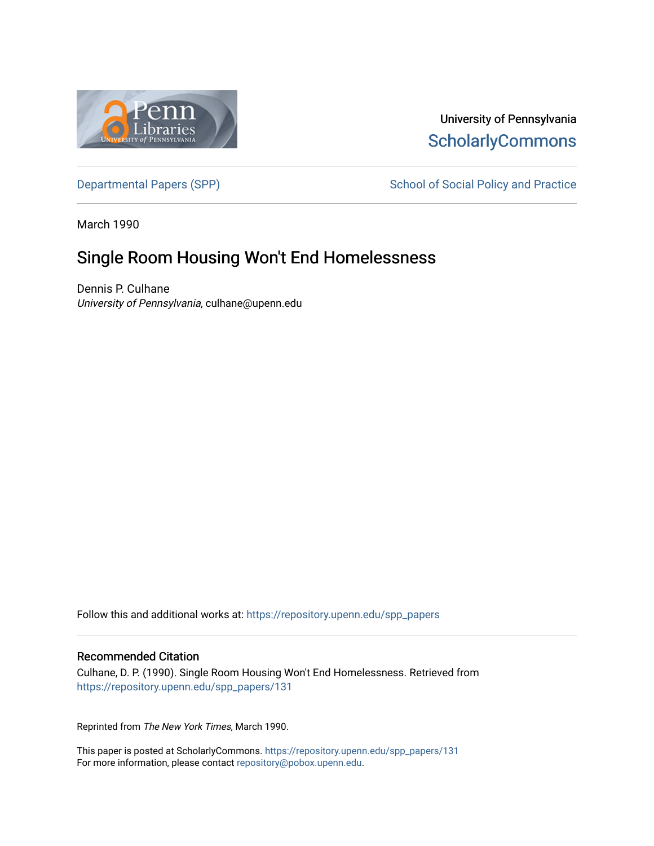

# University of Pennsylvania **ScholarlyCommons**

[Departmental Papers \(SPP\)](https://repository.upenn.edu/spp_papers) School of Social Policy and Practice

March 1990

# Single Room Housing Won't End Homelessness

Dennis P. Culhane University of Pennsylvania, culhane@upenn.edu

Follow this and additional works at: [https://repository.upenn.edu/spp\\_papers](https://repository.upenn.edu/spp_papers?utm_source=repository.upenn.edu%2Fspp_papers%2F131&utm_medium=PDF&utm_campaign=PDFCoverPages) 

### Recommended Citation

Culhane, D. P. (1990). Single Room Housing Won't End Homelessness. Retrieved from [https://repository.upenn.edu/spp\\_papers/131](https://repository.upenn.edu/spp_papers/131?utm_source=repository.upenn.edu%2Fspp_papers%2F131&utm_medium=PDF&utm_campaign=PDFCoverPages) 

Reprinted from The New York Times, March 1990.

This paper is posted at ScholarlyCommons. [https://repository.upenn.edu/spp\\_papers/131](https://repository.upenn.edu/spp_papers/131)  For more information, please contact [repository@pobox.upenn.edu.](mailto:repository@pobox.upenn.edu)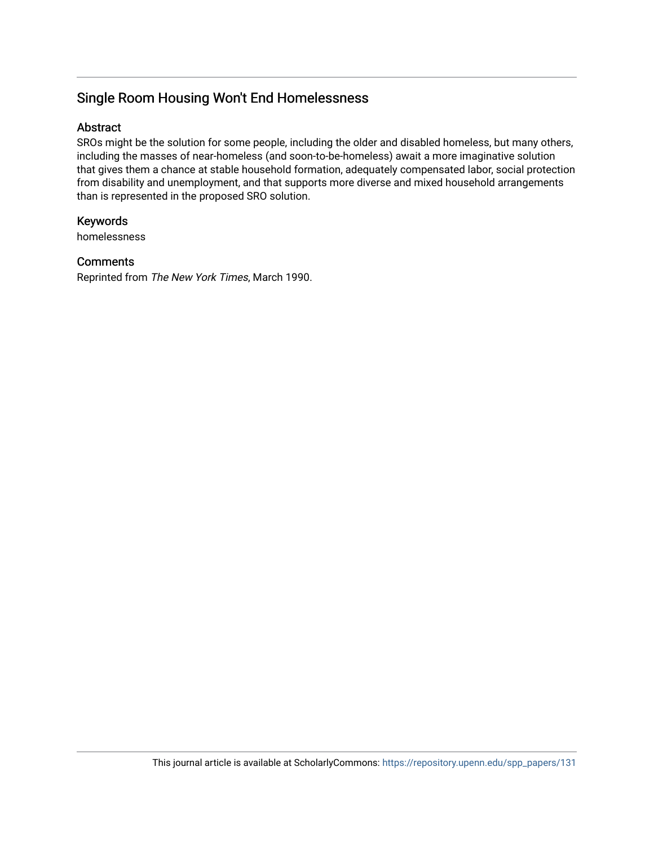# Single Room Housing Won't End Homelessness

## Abstract

SROs might be the solution for some people, including the older and disabled homeless, but many others, including the masses of near-homeless (and soon-to-be-homeless) await a more imaginative solution that gives them a chance at stable household formation, adequately compensated labor, social protection from disability and unemployment, and that supports more diverse and mixed household arrangements than is represented in the proposed SRO solution.

# Keywords

homelessness

# **Comments**

Reprinted from The New York Times, March 1990.